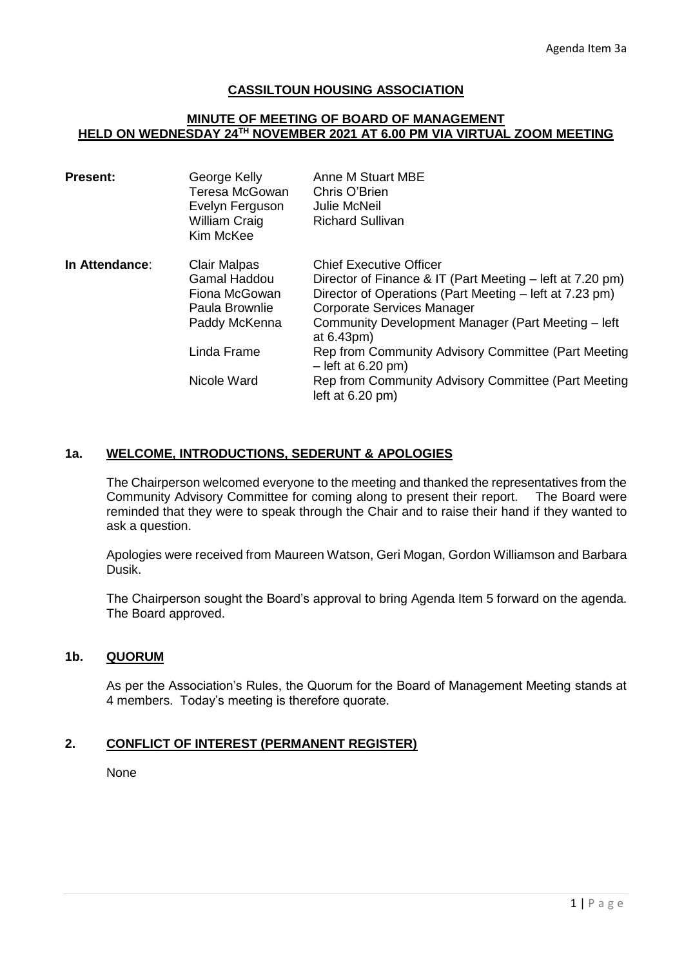### **CASSILTOUN HOUSING ASSOCIATION**

#### **MINUTE OF MEETING OF BOARD OF MANAGEMENT HELD ON WEDNESDAY 24TH NOVEMBER 2021 AT 6.00 PM VIA VIRTUAL ZOOM MEETING**

| George Kelly<br>Teresa McGowan<br>Evelyn Ferguson<br><b>William Craig</b><br>Kim McKee         | <b>Anne M Stuart MBE</b><br>Chris O'Brien<br><b>Julie McNeil</b><br><b>Richard Sullivan</b>                                                                                                                                                                              |
|------------------------------------------------------------------------------------------------|--------------------------------------------------------------------------------------------------------------------------------------------------------------------------------------------------------------------------------------------------------------------------|
| <b>Clair Malpas</b><br><b>Gamal Haddou</b><br>Fiona McGowan<br>Paula Brownlie<br>Paddy McKenna | <b>Chief Executive Officer</b><br>Director of Finance & IT (Part Meeting – left at 7.20 pm)<br>Director of Operations (Part Meeting – left at 7.23 pm)<br><b>Corporate Services Manager</b><br>Community Development Manager (Part Meeting - left<br>at $6.43 \text{pm}$ |
| Linda Frame                                                                                    | Rep from Community Advisory Committee (Part Meeting<br>$-$ left at 6.20 pm)                                                                                                                                                                                              |
| Nicole Ward                                                                                    | Rep from Community Advisory Committee (Part Meeting<br>left at $6.20$ pm)                                                                                                                                                                                                |
|                                                                                                |                                                                                                                                                                                                                                                                          |

# **1a. WELCOME, INTRODUCTIONS, SEDERUNT & APOLOGIES**

The Chairperson welcomed everyone to the meeting and thanked the representatives from the Community Advisory Committee for coming along to present their report. The Board were reminded that they were to speak through the Chair and to raise their hand if they wanted to ask a question.

Apologies were received from Maureen Watson, Geri Mogan, Gordon Williamson and Barbara Dusik.

The Chairperson sought the Board's approval to bring Agenda Item 5 forward on the agenda. The Board approved.

# **1b. QUORUM**

As per the Association's Rules, the Quorum for the Board of Management Meeting stands at 4 members. Today's meeting is therefore quorate.

# **2. CONFLICT OF INTEREST (PERMANENT REGISTER)**

None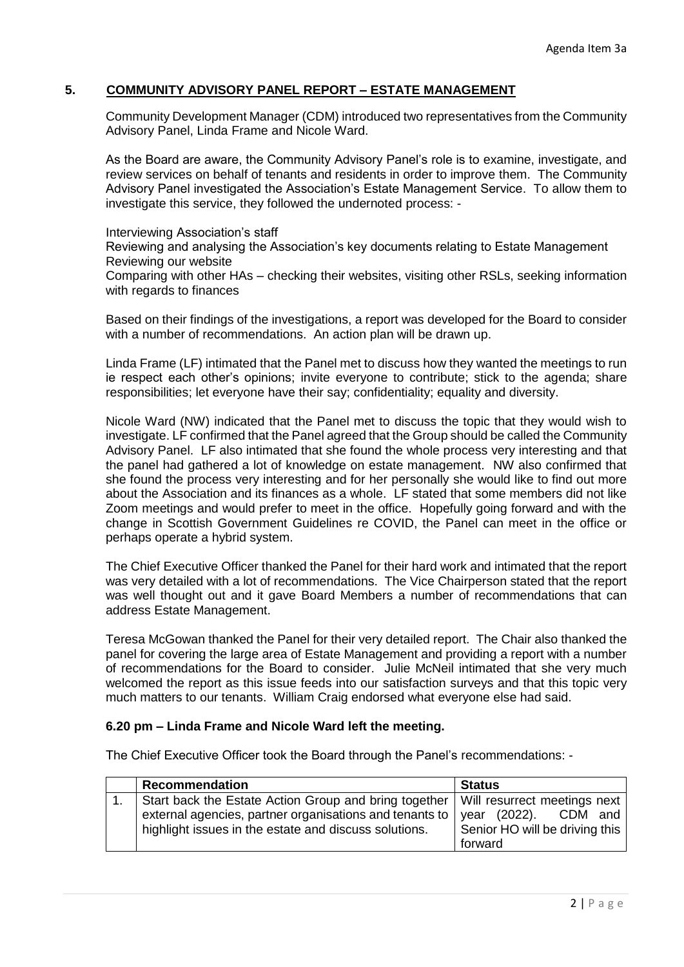# **5. COMMUNITY ADVISORY PANEL REPORT – ESTATE MANAGEMENT**

Community Development Manager (CDM) introduced two representatives from the Community Advisory Panel, Linda Frame and Nicole Ward.

As the Board are aware, the Community Advisory Panel's role is to examine, investigate, and review services on behalf of tenants and residents in order to improve them. The Community Advisory Panel investigated the Association's Estate Management Service. To allow them to investigate this service, they followed the undernoted process: -

Interviewing Association's staff

Reviewing and analysing the Association's key documents relating to Estate Management Reviewing our website

Comparing with other HAs – checking their websites, visiting other RSLs, seeking information with regards to finances

Based on their findings of the investigations, a report was developed for the Board to consider with a number of recommendations. An action plan will be drawn up.

Linda Frame (LF) intimated that the Panel met to discuss how they wanted the meetings to run ie respect each other's opinions; invite everyone to contribute; stick to the agenda; share responsibilities; let everyone have their say; confidentiality; equality and diversity.

Nicole Ward (NW) indicated that the Panel met to discuss the topic that they would wish to investigate. LF confirmed that the Panel agreed that the Group should be called the Community Advisory Panel. LF also intimated that she found the whole process very interesting and that the panel had gathered a lot of knowledge on estate management. NW also confirmed that she found the process very interesting and for her personally she would like to find out more about the Association and its finances as a whole. LF stated that some members did not like Zoom meetings and would prefer to meet in the office. Hopefully going forward and with the change in Scottish Government Guidelines re COVID, the Panel can meet in the office or perhaps operate a hybrid system.

The Chief Executive Officer thanked the Panel for their hard work and intimated that the report was very detailed with a lot of recommendations. The Vice Chairperson stated that the report was well thought out and it gave Board Members a number of recommendations that can address Estate Management.

Teresa McGowan thanked the Panel for their very detailed report. The Chair also thanked the panel for covering the large area of Estate Management and providing a report with a number of recommendations for the Board to consider. Julie McNeil intimated that she very much welcomed the report as this issue feeds into our satisfaction surveys and that this topic very much matters to our tenants. William Craig endorsed what everyone else had said.

#### **6.20 pm – Linda Frame and Nicole Ward left the meeting.**

The Chief Executive Officer took the Board through the Panel's recommendations: -

|  | <b>Recommendation</b>                                                                | <b>Status</b>                  |
|--|--------------------------------------------------------------------------------------|--------------------------------|
|  | Start back the Estate Action Group and bring together   Will resurrect meetings next |                                |
|  | external agencies, partner organisations and tenants to $\vert$ year (2022).         | CDM and                        |
|  | highlight issues in the estate and discuss solutions.                                | Senior HO will be driving this |
|  |                                                                                      | forward                        |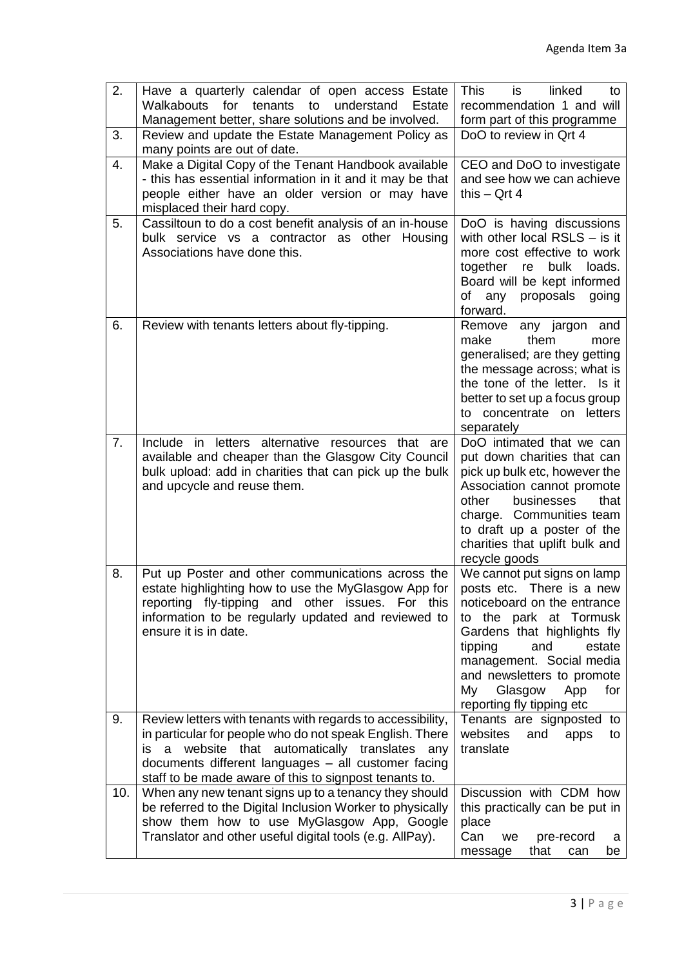| 2.  | Have a quarterly calendar of open access Estate<br>for<br>tenants<br>to<br>understand<br><b>Walkabouts</b><br>Estate<br>Management better, share solutions and be involved.                                                                                                                     | <b>This</b><br>linked<br>is<br>to<br>recommendation 1 and will<br>form part of this programme                                                                                                                                                                                                      |
|-----|-------------------------------------------------------------------------------------------------------------------------------------------------------------------------------------------------------------------------------------------------------------------------------------------------|----------------------------------------------------------------------------------------------------------------------------------------------------------------------------------------------------------------------------------------------------------------------------------------------------|
| 3.  | Review and update the Estate Management Policy as<br>many points are out of date.                                                                                                                                                                                                               | DoO to review in Qrt 4                                                                                                                                                                                                                                                                             |
| 4.  | Make a Digital Copy of the Tenant Handbook available<br>- this has essential information in it and it may be that<br>people either have an older version or may have<br>misplaced their hard copy.                                                                                              | CEO and DoO to investigate<br>and see how we can achieve<br>this $-$ Qrt 4                                                                                                                                                                                                                         |
| 5.  | Cassiltoun to do a cost benefit analysis of an in-house<br>bulk service vs a contractor as other Housing<br>Associations have done this.                                                                                                                                                        | DoO is having discussions<br>with other local RSLS $-$ is it<br>more cost effective to work<br>together re<br>bulk<br>loads.<br>Board will be kept informed<br>of any<br>proposals<br>going<br>forward.                                                                                            |
| 6.  | Review with tenants letters about fly-tipping.                                                                                                                                                                                                                                                  | any jargon and<br>Remove<br>make<br>them<br>more<br>generalised; are they getting<br>the message across; what is<br>the tone of the letter. Is it<br>better to set up a focus group<br>to concentrate on letters<br>separately                                                                     |
| 7.  | Include in letters alternative resources that are<br>available and cheaper than the Glasgow City Council<br>bulk upload: add in charities that can pick up the bulk<br>and upcycle and reuse them.                                                                                              | DoO intimated that we can<br>put down charities that can<br>pick up bulk etc, however the<br>Association cannot promote<br>businesses<br>other<br>that<br>charge. Communities team<br>to draft up a poster of the<br>charities that uplift bulk and<br>recycle goods                               |
| 8.  | Put up Poster and other communications across the<br>estate highlighting how to use the MyGlasgow App for<br>reporting fly-tipping and other issues. For this<br>information to be regularly updated and reviewed to<br>ensure it is in date.                                                   | We cannot put signs on lamp<br>posts etc. There is a new<br>noticeboard on the entrance<br>to the park at Tormusk<br>Gardens that highlights fly<br>tipping<br>and<br>estate<br>management. Social media<br>and newsletters to promote<br>Glasgow<br>for<br>My<br>App<br>reporting fly tipping etc |
| 9.  | Review letters with tenants with regards to accessibility,<br>in particular for people who do not speak English. There<br>website that automatically translates any<br>is<br>a<br>documents different languages - all customer facing<br>staff to be made aware of this to signpost tenants to. | Tenants are signposted to<br>websites<br>and<br>apps<br>to<br>translate                                                                                                                                                                                                                            |
| 10. | When any new tenant signs up to a tenancy they should<br>be referred to the Digital Inclusion Worker to physically<br>show them how to use MyGlasgow App, Google<br>Translator and other useful digital tools (e.g. AllPay).                                                                    | Discussion with CDM how<br>this practically can be put in<br>place<br>Can<br>pre-record<br>we<br>a<br>that<br>be<br>message<br>can                                                                                                                                                                 |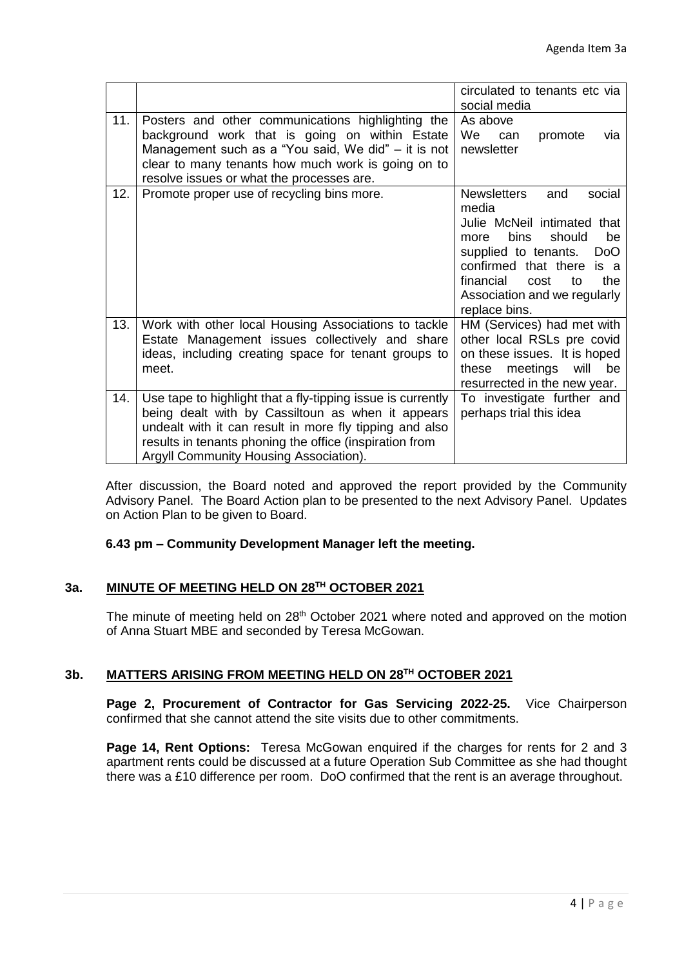|     |                                                                                                                                                                                                                                                                                  | circulated to tenants etc via<br>social media                                                                                                                                                                                                                                    |
|-----|----------------------------------------------------------------------------------------------------------------------------------------------------------------------------------------------------------------------------------------------------------------------------------|----------------------------------------------------------------------------------------------------------------------------------------------------------------------------------------------------------------------------------------------------------------------------------|
| 11. | Posters and other communications highlighting the<br>background work that is going on within Estate<br>Management such as a "You said, We did" – it is not<br>clear to many tenants how much work is going on to<br>resolve issues or what the processes are.                    | As above<br>We<br>promote<br>can<br>via<br>newsletter                                                                                                                                                                                                                            |
| 12. | Promote proper use of recycling bins more.                                                                                                                                                                                                                                       | <b>Newsletters</b><br>social<br>and<br>media<br>Julie McNeil intimated that<br><b>bins</b><br>should<br>be<br>more<br>supplied to tenants.<br>Do <sub>O</sub><br>confirmed that there<br>is a<br>financial<br>the<br>cost<br>to<br>Association and we regularly<br>replace bins. |
| 13. | Work with other local Housing Associations to tackle<br>Estate Management issues collectively and share<br>ideas, including creating space for tenant groups to<br>meet.                                                                                                         | HM (Services) had met with<br>other local RSLs pre covid<br>on these issues. It is hoped<br>will<br>meetings<br>be<br>these<br>resurrected in the new year.                                                                                                                      |
| 14. | Use tape to highlight that a fly-tipping issue is currently<br>being dealt with by Cassiltoun as when it appears<br>undealt with it can result in more fly tipping and also<br>results in tenants phoning the office (inspiration from<br>Argyll Community Housing Association). | To investigate further and<br>perhaps trial this idea                                                                                                                                                                                                                            |

After discussion, the Board noted and approved the report provided by the Community Advisory Panel. The Board Action plan to be presented to the next Advisory Panel. Updates on Action Plan to be given to Board.

# **6.43 pm – Community Development Manager left the meeting.**

# **3a. MINUTE OF MEETING HELD ON 28TH OCTOBER 2021**

The minute of meeting held on 28<sup>th</sup> October 2021 where noted and approved on the motion of Anna Stuart MBE and seconded by Teresa McGowan.

# **3b. MATTERS ARISING FROM MEETING HELD ON 28TH OCTOBER 2021**

**Page 2, Procurement of Contractor for Gas Servicing 2022-25.** Vice Chairperson confirmed that she cannot attend the site visits due to other commitments.

**Page 14, Rent Options:** Teresa McGowan enquired if the charges for rents for 2 and 3 apartment rents could be discussed at a future Operation Sub Committee as she had thought there was a £10 difference per room. DoO confirmed that the rent is an average throughout.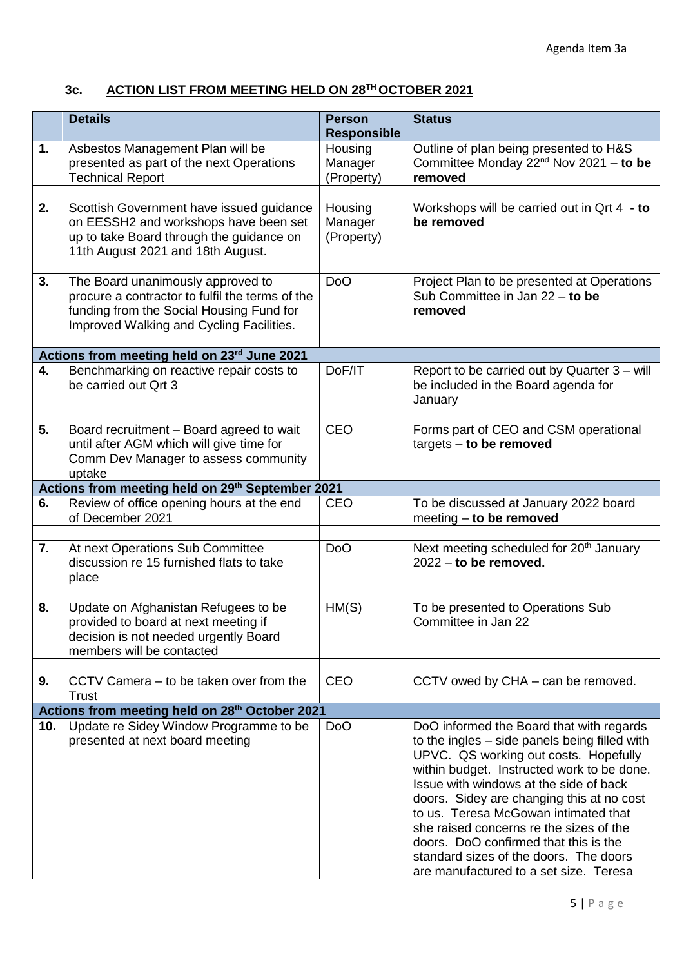# **3c. ACTION LIST FROM MEETING HELD ON 28TH OCTOBER 2021**

|     | <b>Details</b>                                                                                                                                                               | <b>Person</b><br><b>Responsible</b> | <b>Status</b>                                                                                                                                                                                                                                                                                                                                                                                                                                                                           |
|-----|------------------------------------------------------------------------------------------------------------------------------------------------------------------------------|-------------------------------------|-----------------------------------------------------------------------------------------------------------------------------------------------------------------------------------------------------------------------------------------------------------------------------------------------------------------------------------------------------------------------------------------------------------------------------------------------------------------------------------------|
| 1.  | Asbestos Management Plan will be<br>presented as part of the next Operations<br><b>Technical Report</b>                                                                      | Housing<br>Manager<br>(Property)    | Outline of plan being presented to H&S<br>Committee Monday $22^{nd}$ Nov 2021 - to be<br>removed                                                                                                                                                                                                                                                                                                                                                                                        |
| 2.  | Scottish Government have issued guidance<br>on EESSH2 and workshops have been set<br>up to take Board through the guidance on<br>11th August 2021 and 18th August.           | Housing<br>Manager<br>(Property)    | Workshops will be carried out in Qrt 4 - to<br>be removed                                                                                                                                                                                                                                                                                                                                                                                                                               |
| 3.  | The Board unanimously approved to<br>procure a contractor to fulfil the terms of the<br>funding from the Social Housing Fund for<br>Improved Walking and Cycling Facilities. | D <sub>o</sub> O                    | Project Plan to be presented at Operations<br>Sub Committee in Jan $22 -$ to be<br>removed                                                                                                                                                                                                                                                                                                                                                                                              |
|     | Actions from meeting held on 23rd June 2021                                                                                                                                  |                                     |                                                                                                                                                                                                                                                                                                                                                                                                                                                                                         |
| 4.  | Benchmarking on reactive repair costs to<br>be carried out Qrt 3                                                                                                             | DoF/IT                              | Report to be carried out by Quarter 3 – will<br>be included in the Board agenda for<br>January                                                                                                                                                                                                                                                                                                                                                                                          |
| 5.  | Board recruitment - Board agreed to wait<br>until after AGM which will give time for<br>Comm Dev Manager to assess community<br>uptake                                       | <b>CEO</b>                          | Forms part of CEO and CSM operational<br>$targets - to be removed$                                                                                                                                                                                                                                                                                                                                                                                                                      |
|     | Actions from meeting held on 29th September 2021                                                                                                                             |                                     |                                                                                                                                                                                                                                                                                                                                                                                                                                                                                         |
| 6.  | Review of office opening hours at the end<br>of December 2021                                                                                                                | <b>CEO</b>                          | To be discussed at January 2022 board<br>meeting - to be removed                                                                                                                                                                                                                                                                                                                                                                                                                        |
| 7.  | At next Operations Sub Committee<br>discussion re 15 furnished flats to take<br>place                                                                                        | D <sub>o</sub> O                    | Next meeting scheduled for 20 <sup>th</sup> January<br>$2022 -$ to be removed.                                                                                                                                                                                                                                                                                                                                                                                                          |
| 8.  | Update on Afghanistan Refugees to be<br>provided to board at next meeting if<br>decision is not needed urgently Board<br>members will be contacted                           | HM(S)                               | To be presented to Operations Sub<br>Committee in Jan 22                                                                                                                                                                                                                                                                                                                                                                                                                                |
| 9.  | CCTV Camera – to be taken over from the<br><b>Trust</b>                                                                                                                      | <b>CEO</b>                          | CCTV owed by CHA - can be removed.                                                                                                                                                                                                                                                                                                                                                                                                                                                      |
|     | Actions from meeting held on 28th October 2021                                                                                                                               |                                     |                                                                                                                                                                                                                                                                                                                                                                                                                                                                                         |
| 10. | Update re Sidey Window Programme to be<br>presented at next board meeting                                                                                                    | D <sub>o</sub> O                    | DoO informed the Board that with regards<br>to the ingles - side panels being filled with<br>UPVC. QS working out costs. Hopefully<br>within budget. Instructed work to be done.<br>Issue with windows at the side of back<br>doors. Sidey are changing this at no cost<br>to us. Teresa McGowan intimated that<br>she raised concerns re the sizes of the<br>doors. DoO confirmed that this is the<br>standard sizes of the doors. The doors<br>are manufactured to a set size. Teresa |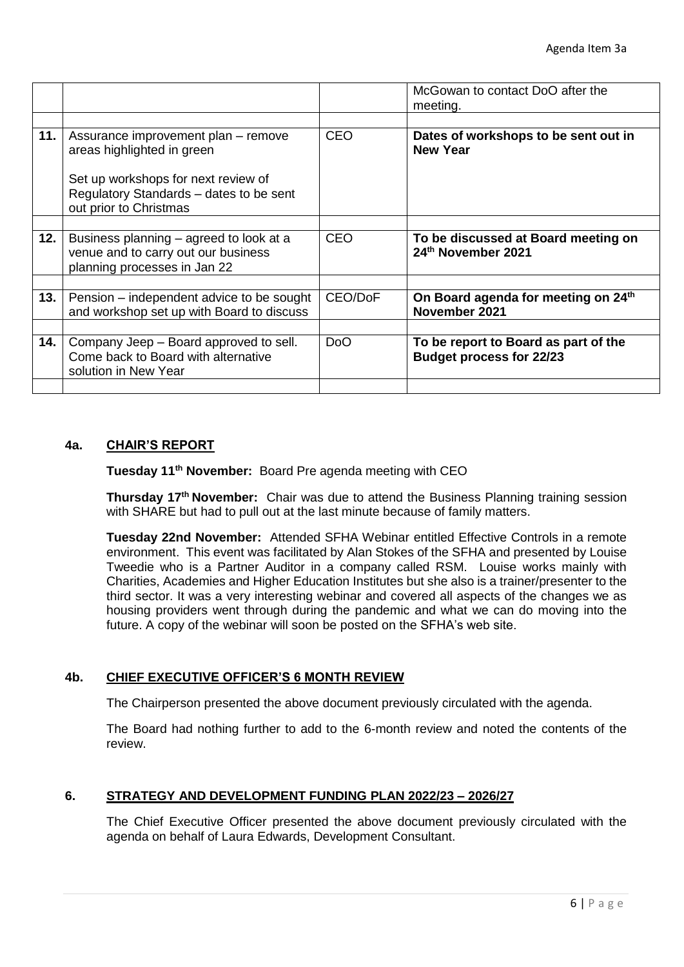|     |                                                                                                                |                  | McGowan to contact DoO after the<br>meeting.                            |
|-----|----------------------------------------------------------------------------------------------------------------|------------------|-------------------------------------------------------------------------|
|     |                                                                                                                |                  |                                                                         |
| 11. | Assurance improvement plan - remove<br>areas highlighted in green                                              | <b>CEO</b>       | Dates of workshops to be sent out in<br><b>New Year</b>                 |
|     | Set up workshops for next review of                                                                            |                  |                                                                         |
|     | Regulatory Standards - dates to be sent<br>out prior to Christmas                                              |                  |                                                                         |
|     |                                                                                                                |                  |                                                                         |
| 12. | Business planning – agreed to look at a<br>venue and to carry out our business<br>planning processes in Jan 22 | <b>CEO</b>       | To be discussed at Board meeting on<br>24th November 2021               |
|     |                                                                                                                |                  |                                                                         |
| 13. | Pension – independent advice to be sought<br>and workshop set up with Board to discuss                         | CEO/DoF          | On Board agenda for meeting on 24 <sup>th</sup><br>November 2021        |
|     |                                                                                                                |                  |                                                                         |
| 14. | Company Jeep – Board approved to sell.<br>Come back to Board with alternative<br>solution in New Year          | D <sub>o</sub> O | To be report to Board as part of the<br><b>Budget process for 22/23</b> |
|     |                                                                                                                |                  |                                                                         |

### **4a. CHAIR'S REPORT**

**Tuesday 11th November:** Board Pre agenda meeting with CEO

**Thursday 17th November:** Chair was due to attend the Business Planning training session with SHARE but had to pull out at the last minute because of family matters.

**Tuesday 22nd November:** Attended SFHA Webinar entitled Effective Controls in a remote environment. This event was facilitated by Alan Stokes of the SFHA and presented by Louise Tweedie who is a Partner Auditor in a company called RSM. Louise works mainly with Charities, Academies and Higher Education Institutes but she also is a trainer/presenter to the third sector. It was a very interesting webinar and covered all aspects of the changes we as housing providers went through during the pandemic and what we can do moving into the future. A copy of the webinar will soon be posted on the SFHA's web site.

### **4b. CHIEF EXECUTIVE OFFICER'S 6 MONTH REVIEW**

The Chairperson presented the above document previously circulated with the agenda.

The Board had nothing further to add to the 6-month review and noted the contents of the review.

### **6. STRATEGY AND DEVELOPMENT FUNDING PLAN 2022/23 – 2026/27**

The Chief Executive Officer presented the above document previously circulated with the agenda on behalf of Laura Edwards, Development Consultant.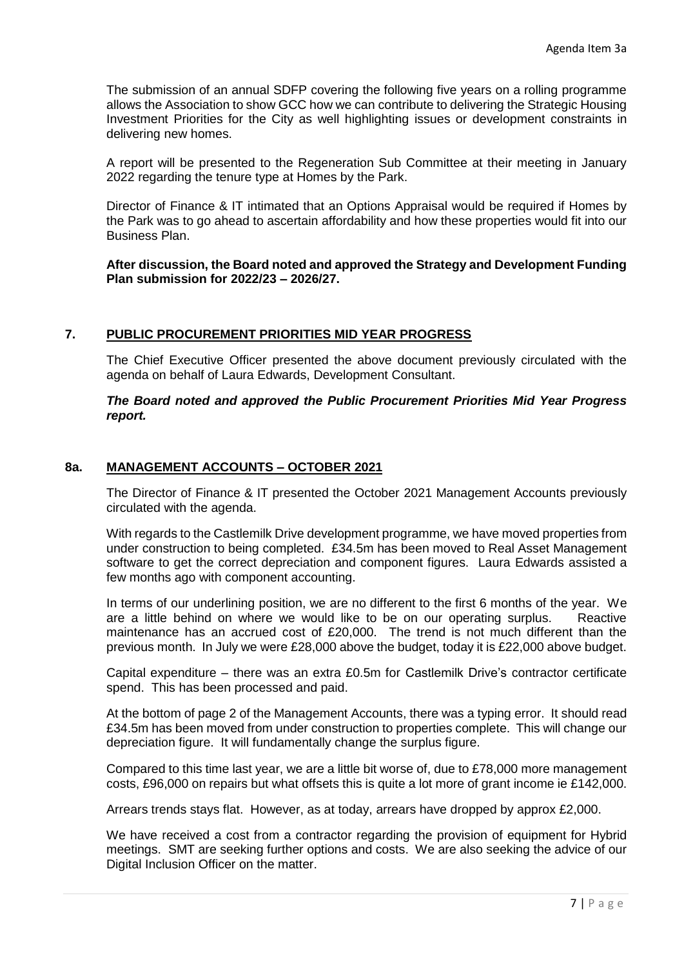The submission of an annual SDFP covering the following five years on a rolling programme allows the Association to show GCC how we can contribute to delivering the Strategic Housing Investment Priorities for the City as well highlighting issues or development constraints in delivering new homes.

A report will be presented to the Regeneration Sub Committee at their meeting in January 2022 regarding the tenure type at Homes by the Park.

Director of Finance & IT intimated that an Options Appraisal would be required if Homes by the Park was to go ahead to ascertain affordability and how these properties would fit into our Business Plan.

### **After discussion, the Board noted and approved the Strategy and Development Funding Plan submission for 2022/23 – 2026/27.**

# **7. PUBLIC PROCUREMENT PRIORITIES MID YEAR PROGRESS**

The Chief Executive Officer presented the above document previously circulated with the agenda on behalf of Laura Edwards, Development Consultant.

### *The Board noted and approved the Public Procurement Priorities Mid Year Progress report.*

# **8a. MANAGEMENT ACCOUNTS – OCTOBER 2021**

The Director of Finance & IT presented the October 2021 Management Accounts previously circulated with the agenda.

With regards to the Castlemilk Drive development programme, we have moved properties from under construction to being completed. £34.5m has been moved to Real Asset Management software to get the correct depreciation and component figures. Laura Edwards assisted a few months ago with component accounting.

In terms of our underlining position, we are no different to the first 6 months of the year. We are a little behind on where we would like to be on our operating surplus. Reactive maintenance has an accrued cost of £20,000. The trend is not much different than the previous month. In July we were £28,000 above the budget, today it is £22,000 above budget.

Capital expenditure – there was an extra £0.5m for Castlemilk Drive's contractor certificate spend. This has been processed and paid.

At the bottom of page 2 of the Management Accounts, there was a typing error. It should read £34.5m has been moved from under construction to properties complete. This will change our depreciation figure. It will fundamentally change the surplus figure.

Compared to this time last year, we are a little bit worse of, due to £78,000 more management costs, £96,000 on repairs but what offsets this is quite a lot more of grant income ie £142,000.

Arrears trends stays flat. However, as at today, arrears have dropped by approx £2,000.

We have received a cost from a contractor regarding the provision of equipment for Hybrid meetings. SMT are seeking further options and costs. We are also seeking the advice of our Digital Inclusion Officer on the matter.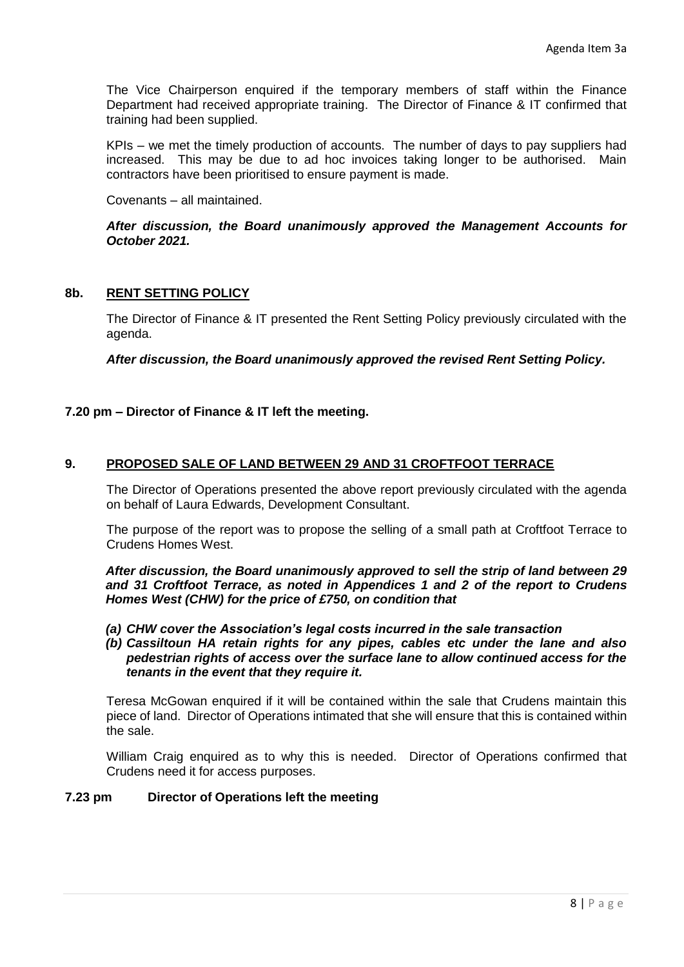The Vice Chairperson enquired if the temporary members of staff within the Finance Department had received appropriate training. The Director of Finance & IT confirmed that training had been supplied.

KPIs – we met the timely production of accounts. The number of days to pay suppliers had increased. This may be due to ad hoc invoices taking longer to be authorised. Main contractors have been prioritised to ensure payment is made.

Covenants – all maintained.

*After discussion, the Board unanimously approved the Management Accounts for October 2021.* 

### **8b. RENT SETTING POLICY**

The Director of Finance & IT presented the Rent Setting Policy previously circulated with the agenda.

*After discussion, the Board unanimously approved the revised Rent Setting Policy.*

### **7.20 pm – Director of Finance & IT left the meeting.**

# **9. PROPOSED SALE OF LAND BETWEEN 29 AND 31 CROFTFOOT TERRACE**

The Director of Operations presented the above report previously circulated with the agenda on behalf of Laura Edwards, Development Consultant.

The purpose of the report was to propose the selling of a small path at Croftfoot Terrace to Crudens Homes West.

*After discussion, the Board unanimously approved to sell the strip of land between 29 and 31 Croftfoot Terrace, as noted in Appendices 1 and 2 of the report to Crudens Homes West (CHW) for the price of £750, on condition that* 

- *(a) CHW cover the Association's legal costs incurred in the sale transaction*
- *(b) Cassiltoun HA retain rights for any pipes, cables etc under the lane and also pedestrian rights of access over the surface lane to allow continued access for the tenants in the event that they require it.*

Teresa McGowan enquired if it will be contained within the sale that Crudens maintain this piece of land. Director of Operations intimated that she will ensure that this is contained within the sale.

William Craig enquired as to why this is needed. Director of Operations confirmed that Crudens need it for access purposes.

#### **7.23 pm Director of Operations left the meeting**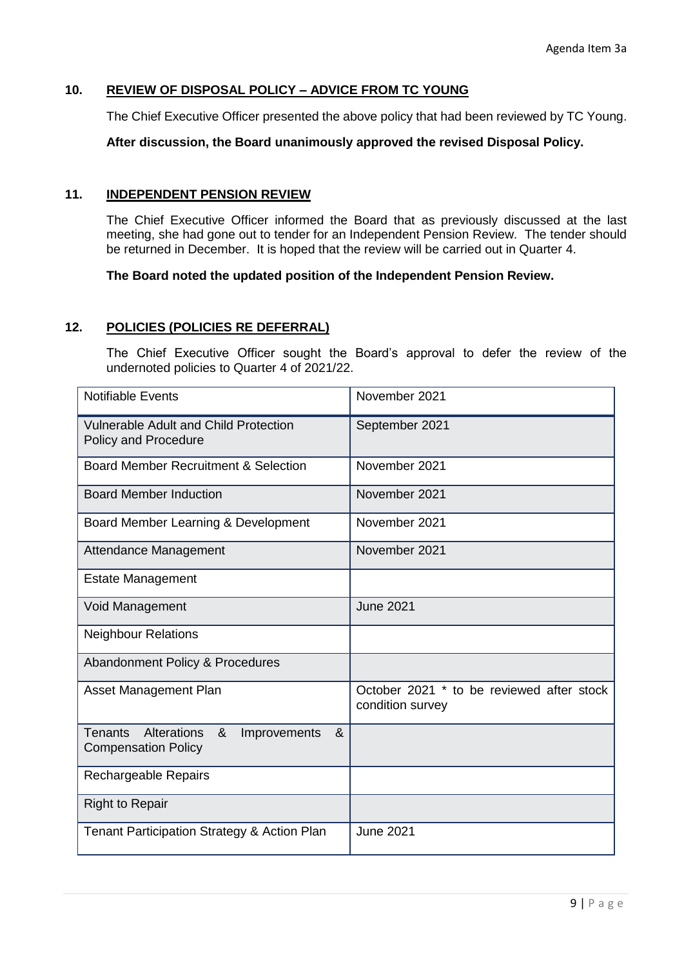# **10. REVIEW OF DISPOSAL POLICY – ADVICE FROM TC YOUNG**

The Chief Executive Officer presented the above policy that had been reviewed by TC Young.

**After discussion, the Board unanimously approved the revised Disposal Policy.**

### **11. INDEPENDENT PENSION REVIEW**

The Chief Executive Officer informed the Board that as previously discussed at the last meeting, she had gone out to tender for an Independent Pension Review. The tender should be returned in December. It is hoped that the review will be carried out in Quarter 4.

**The Board noted the updated position of the Independent Pension Review.**

### **12. POLICIES (POLICIES RE DEFERRAL)**

The Chief Executive Officer sought the Board's approval to defer the review of the undernoted policies to Quarter 4 of 2021/22.

| <b>Notifiable Events</b>                                                              | November 2021                                                 |  |
|---------------------------------------------------------------------------------------|---------------------------------------------------------------|--|
| <b>Vulnerable Adult and Child Protection</b><br><b>Policy and Procedure</b>           | September 2021                                                |  |
| <b>Board Member Recruitment &amp; Selection</b>                                       | November 2021                                                 |  |
| <b>Board Member Induction</b>                                                         | November 2021                                                 |  |
| Board Member Learning & Development                                                   | November 2021                                                 |  |
| Attendance Management                                                                 | November 2021                                                 |  |
| <b>Estate Management</b>                                                              |                                                               |  |
| Void Management                                                                       | <b>June 2021</b>                                              |  |
| <b>Neighbour Relations</b>                                                            |                                                               |  |
| Abandonment Policy & Procedures                                                       |                                                               |  |
| Asset Management Plan                                                                 | October 2021 * to be reviewed after stock<br>condition survey |  |
| Alterations<br>&<br><b>Tenants</b><br>&<br>Improvements<br><b>Compensation Policy</b> |                                                               |  |
| Rechargeable Repairs                                                                  |                                                               |  |
| <b>Right to Repair</b>                                                                |                                                               |  |
| Tenant Participation Strategy & Action Plan                                           | <b>June 2021</b>                                              |  |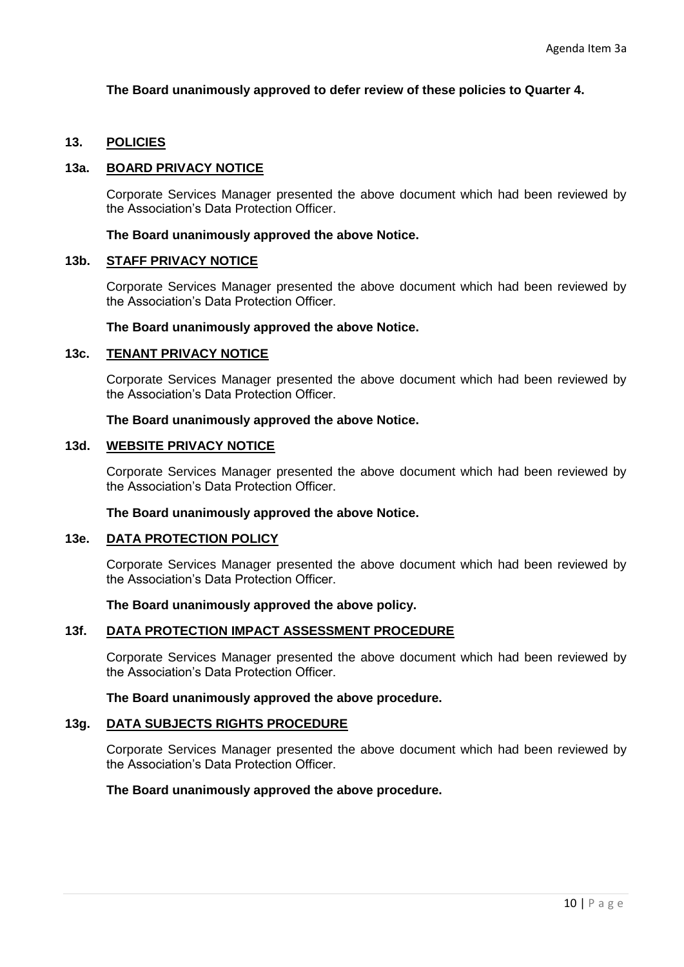### **The Board unanimously approved to defer review of these policies to Quarter 4.**

### **13. POLICIES**

#### **13a. BOARD PRIVACY NOTICE**

Corporate Services Manager presented the above document which had been reviewed by the Association's Data Protection Officer.

#### **The Board unanimously approved the above Notice.**

#### **13b. STAFF PRIVACY NOTICE**

Corporate Services Manager presented the above document which had been reviewed by the Association's Data Protection Officer.

#### **The Board unanimously approved the above Notice.**

### **13c. TENANT PRIVACY NOTICE**

Corporate Services Manager presented the above document which had been reviewed by the Association's Data Protection Officer.

#### **The Board unanimously approved the above Notice.**

### **13d. WEBSITE PRIVACY NOTICE**

Corporate Services Manager presented the above document which had been reviewed by the Association's Data Protection Officer.

#### **The Board unanimously approved the above Notice.**

#### **13e. DATA PROTECTION POLICY**

Corporate Services Manager presented the above document which had been reviewed by the Association's Data Protection Officer.

#### **The Board unanimously approved the above policy.**

#### **13f. DATA PROTECTION IMPACT ASSESSMENT PROCEDURE**

Corporate Services Manager presented the above document which had been reviewed by the Association's Data Protection Officer.

#### **The Board unanimously approved the above procedure.**

#### **13g. DATA SUBJECTS RIGHTS PROCEDURE**

Corporate Services Manager presented the above document which had been reviewed by the Association's Data Protection Officer.

#### **The Board unanimously approved the above procedure.**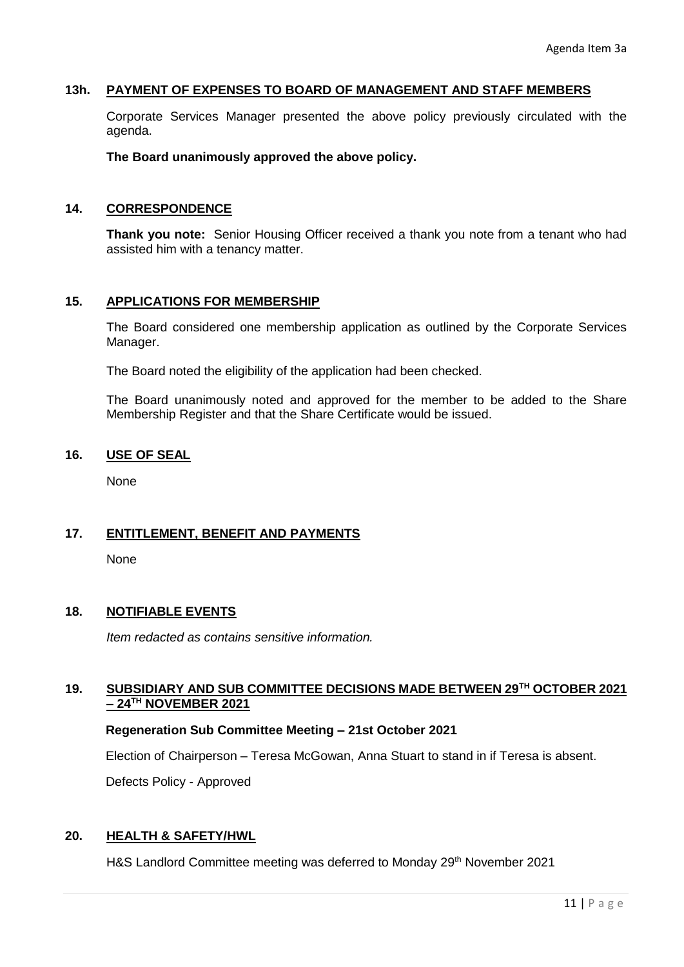### **13h. PAYMENT OF EXPENSES TO BOARD OF MANAGEMENT AND STAFF MEMBERS**

Corporate Services Manager presented the above policy previously circulated with the agenda.

**The Board unanimously approved the above policy.**

### **14. CORRESPONDENCE**

**Thank you note:** Senior Housing Officer received a thank you note from a tenant who had assisted him with a tenancy matter.

### **15. APPLICATIONS FOR MEMBERSHIP**

The Board considered one membership application as outlined by the Corporate Services Manager.

The Board noted the eligibility of the application had been checked.

The Board unanimously noted and approved for the member to be added to the Share Membership Register and that the Share Certificate would be issued.

### **16. USE OF SEAL**

**None** 

### **17. ENTITLEMENT, BENEFIT AND PAYMENTS**

None

### **18. NOTIFIABLE EVENTS**

*Item redacted as contains sensitive information.*

### **19. SUBSIDIARY AND SUB COMMITTEE DECISIONS MADE BETWEEN 29TH OCTOBER 2021 – 24TH NOVEMBER 2021**

#### **Regeneration Sub Committee Meeting – 21st October 2021**

Election of Chairperson – Teresa McGowan, Anna Stuart to stand in if Teresa is absent.

Defects Policy - Approved

# **20. HEALTH & SAFETY/HWL**

H&S Landlord Committee meeting was deferred to Monday 29<sup>th</sup> November 2021